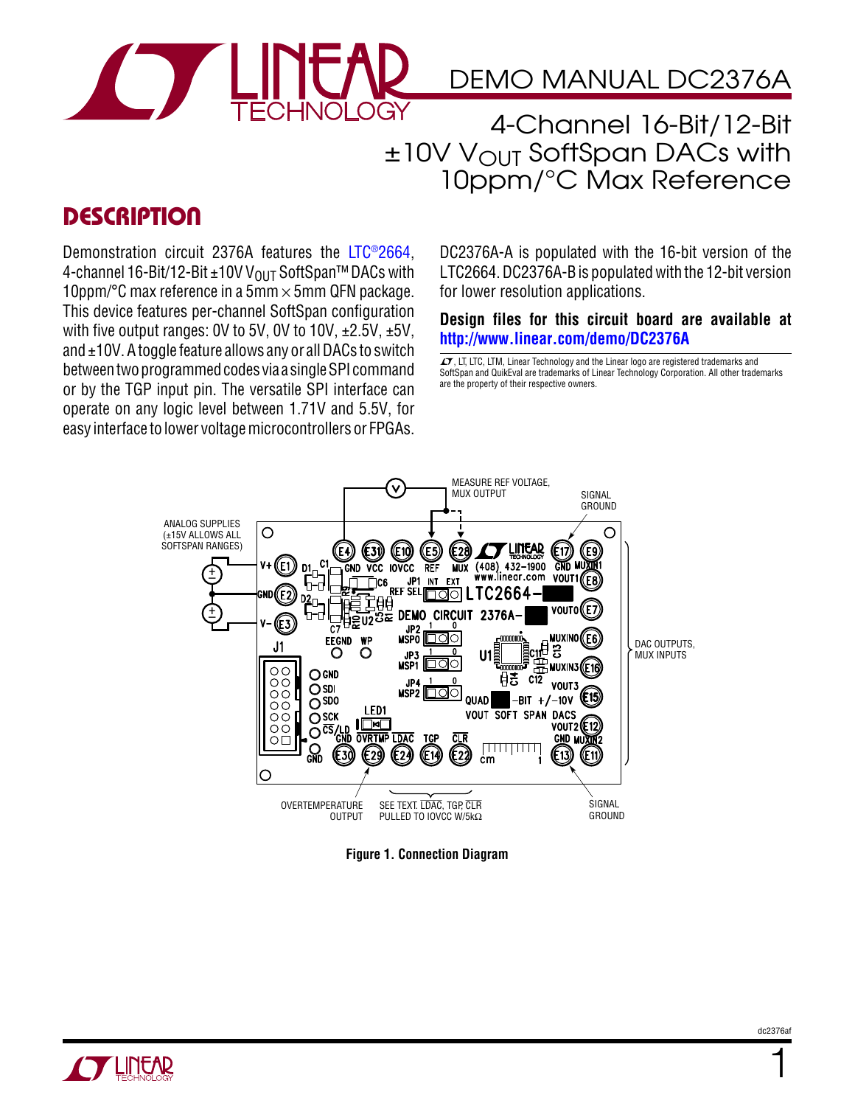

## DEMO MANUAL DC2376A

4-Channel 16-Bit/12-Bit  $±10V$  V<sub>OUT</sub> SoftSpan DACs with 10ppm/°C Max Reference

### **DESCRIPTION**

Demonstration circuit 2376A features the [LTC®2664](http://www.linear.com/product/LTC2664), 4-channel 16-Bit/12-Bit ±10V V<sub>OUT</sub> SoftSpan<sup>™</sup> DACs with 10ppm/°C max reference in a 5mm  $\times$  5mm QFN package. This device features per-channel SoftSpan configuration with five output ranges: 0V to 5V, 0V to 10V,  $\pm 2.5V$ ,  $\pm 5V$ , and  $\pm$ 10V. A toggle feature allows any or all DACs to switch betweentwoprogrammedcodes via a singleSPI command or by the TGP input pin. The versatile SPI interface can operate on any logic level between 1.71V and 5.5V, for easy interface to lower voltage microcontrollers or FPGAs.

DC2376A-A is populated with the 16-bit version of the LTC2664. DC2376A-B is populatedwith the 12-bit version for lower resolution applications.

**Design files for this circuit board are available at <http://www.linear.com/demo/DC2376A>**

 $\sqrt{J}$ , LT, LTC, LTM, Linear Technology and the Linear logo are registered trademarks and SoftSpan and QuikEval are trademarks of Linear Technology Corporation. All other trademarks are the property of their respective owners.



**Figure 1. Connection Diagram**



1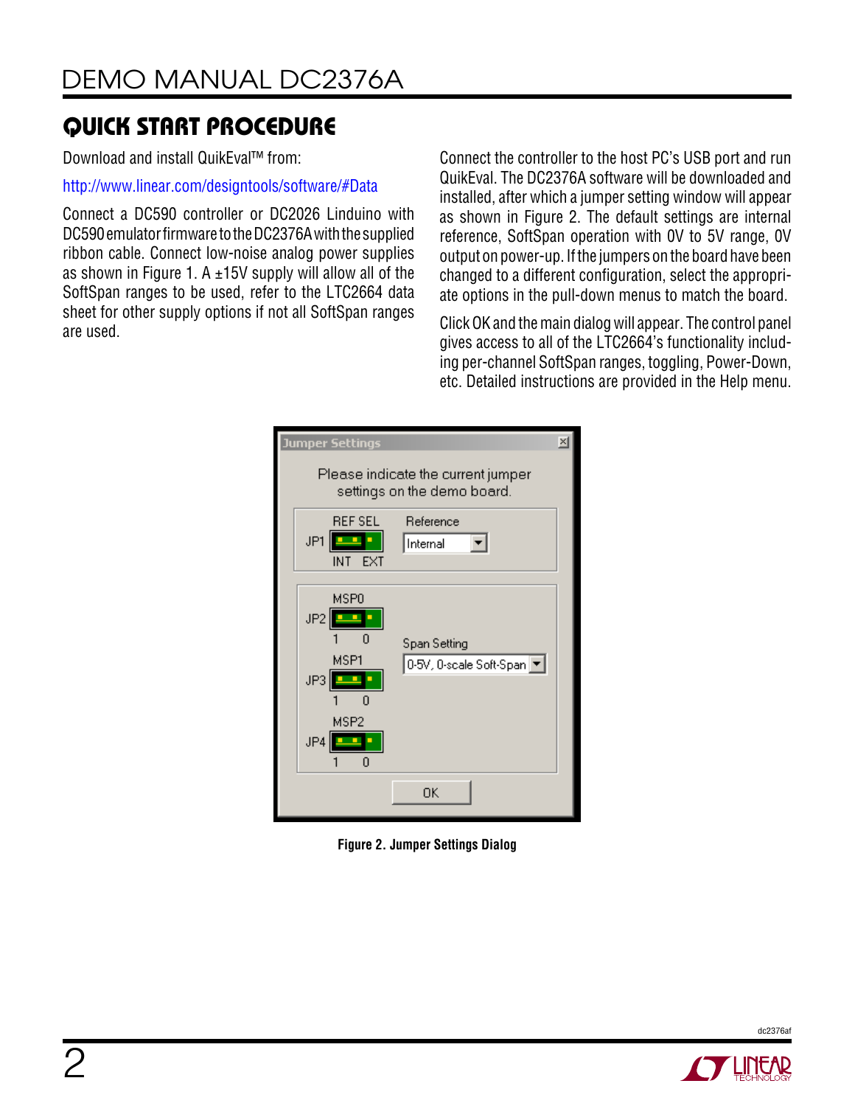Download and install QuikEval™ from:

<http://www.linear.com/designtools/software/#Data>

Connect a DC590 controller or DC2026 Linduino with DC590 emulator firmware to the DC2376A with the supplied ribbon cable. Connect low-noise analog power supplies as shown in Figure 1. A  $\pm$ 15V supply will allow all of the SoftSpan ranges to be used, refer to the LTC2664 data sheet for other supply options if not all SoftSpan ranges are used.

Connect the controller to the host PC's USB port and run QuikEval. The DC2376A software will be downloaded and installed, after which a jumper setting window will appear as shown in Figure 2. The default settings are internal reference, SoftSpan operation with 0V to 5V range, 0V output on power-up. Ifthe jumpers on the board have been changed to a different configuration, select the appropriate options in the pull-down menus to match the board.

ClickOK and themain dialogwill appear. The control panel gives access to all of the LTC2664's functionality including per-channel SoftSpan ranges, toggling, Power-Down, etc. Detailed instructions are provided in the Help menu.

| $\vert x \vert$<br>Jumper Settings                                |                                           |  |  |  |  |
|-------------------------------------------------------------------|-------------------------------------------|--|--|--|--|
| Please indicate the current jumper<br>settings on the demo board. |                                           |  |  |  |  |
| <b>REF SEL</b><br>JP1<br>Ξ<br>EXT<br>INT.                         | Reference<br>Internal                     |  |  |  |  |
| MSP <sub>0</sub><br>JP2<br>MSP1<br>JP3<br>n<br>MSP2<br>JP4<br>0   | Span Setting<br>0-5V, 0-scale Soft-Span ▼ |  |  |  |  |
|                                                                   | OΚ                                        |  |  |  |  |

**Figure 2. Jumper Settings Dialog**



dc2376af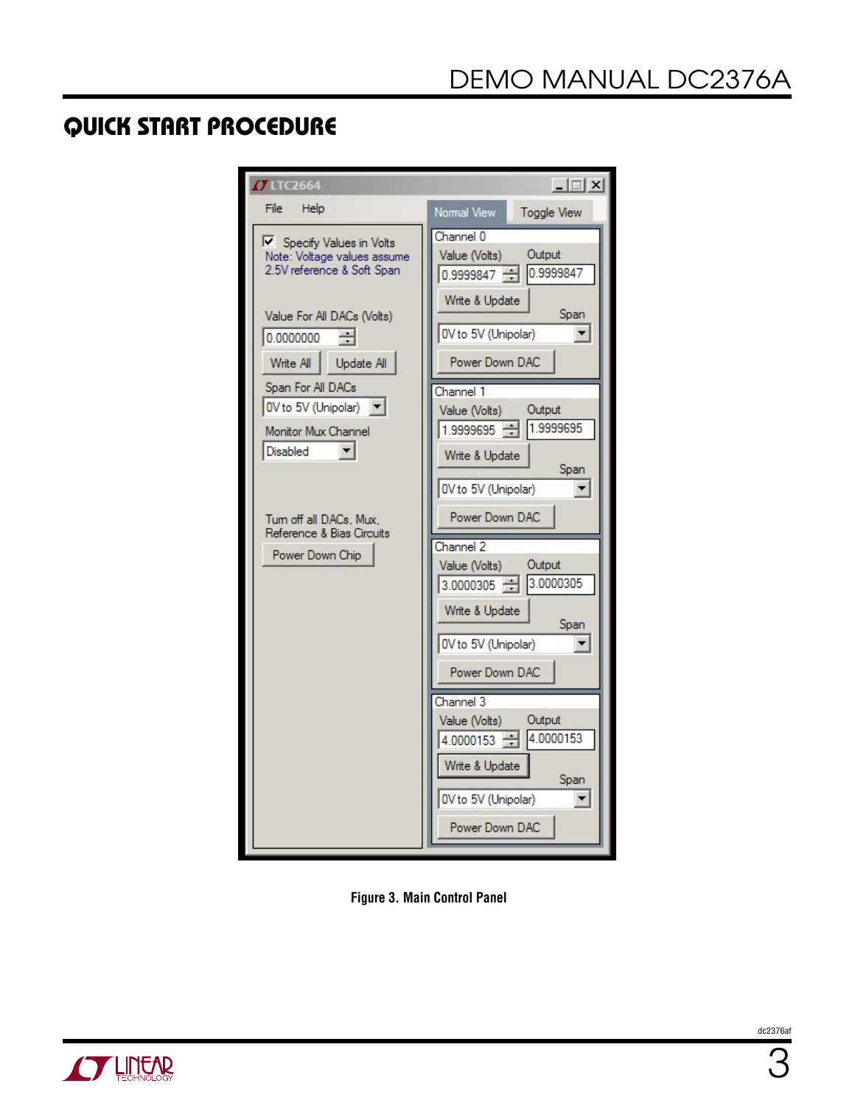| <b>O LTC2664</b>                                                                                                   | $ \Box$ $\times$                                                                      |
|--------------------------------------------------------------------------------------------------------------------|---------------------------------------------------------------------------------------|
| File<br>Help                                                                                                       | Normal View<br>Toggle View                                                            |
| Specify Values in Volts<br>Note: Voltage values assume<br>2.5V reference & Soft Span<br>Value For All DACs (Volts) | Channel 0<br>Output<br>Value (Volts)<br>0.9999847 0.9999847<br>Write & Update<br>Span |
| 0.0000000                                                                                                          | 0V to 5V (Unipolar)<br>▼                                                              |
| Write All<br>Update All                                                                                            | Power Down DAC                                                                        |
| Span For All DACs                                                                                                  | Channel 1                                                                             |
| OV to 5V (Unipolar)                                                                                                | Output<br>Value (Volts)                                                               |
| Monitor Mux Channel<br>Disabled                                                                                    | 1.9999695<br>$1.9999695 -$                                                            |
| Tum off all DACs, Mux,                                                                                             | Write & Update<br>Span<br>0V to 5V (Unipolar)<br>▼<br>Power Down DAC                  |
| Reference & Bias Circuits                                                                                          | Channel 2                                                                             |
| Power Down Chip                                                                                                    | Output<br>Value (Volts)<br>3.0000305 3.0000305                                        |
|                                                                                                                    | Write & Update<br>Span                                                                |
|                                                                                                                    | 0V to 5V (Unipolar)                                                                   |
|                                                                                                                    | Power Down DAC                                                                        |
|                                                                                                                    | Channel 3                                                                             |
|                                                                                                                    | Output<br>Value (Volts)<br>4.0000153<br>4.0000153                                     |
|                                                                                                                    | Write & Update<br>Span                                                                |
|                                                                                                                    | 0V to 5V (Unipolar)<br>Power Down DAC                                                 |

**Figure 3. Main Control Panel**

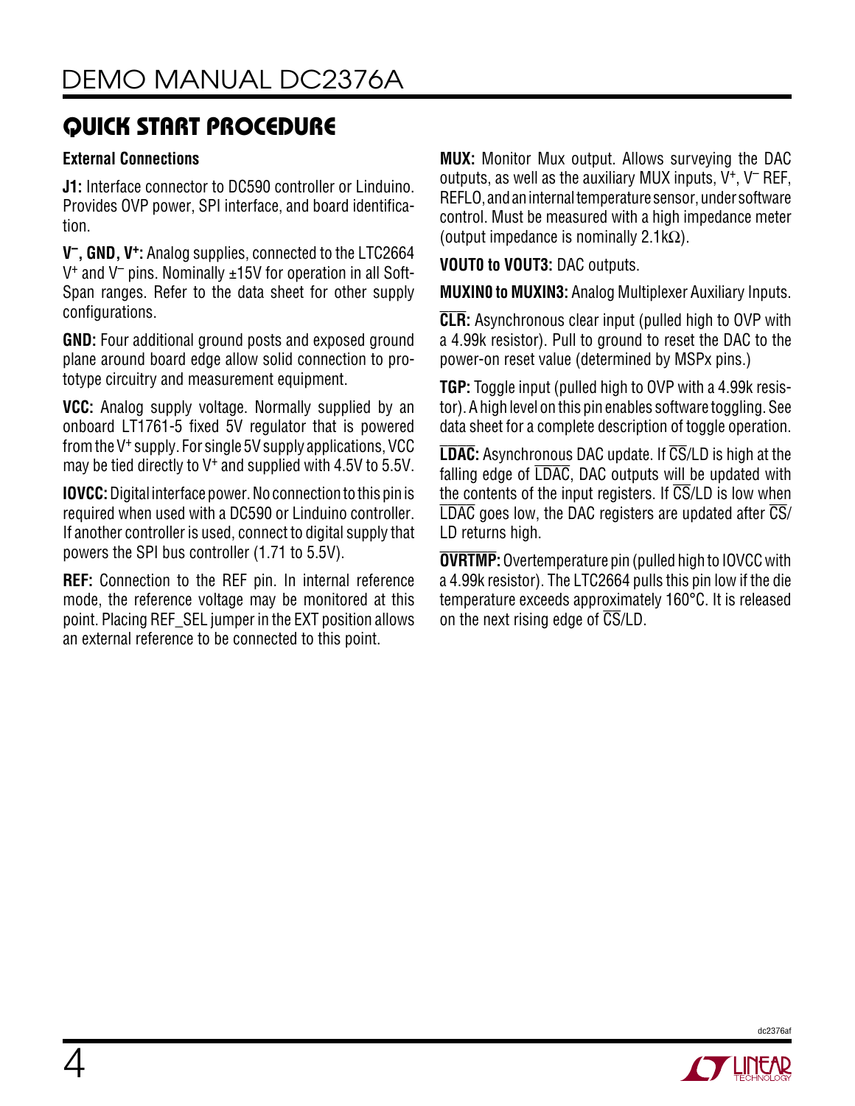### **External Connections**

**J1:** Interface connector to DC590 controller or Linduino. Provides OVP power, SPI interface, and board identification.

**V–, GND, V+:** Analog supplies, connected to the LTC2664  $V^+$  and  $V^-$  pins. Nominally  $\pm 15V$  for operation in all Soft-Span ranges. Refer to the data sheet for other supply configurations.

**GND:** Four additional ground posts and exposed ground plane around board edge allow solid connection to prototype circuitry and measurement equipment.

**VCC:** Analog supply voltage. Normally supplied by an onboard LT1761-5 fixed 5V regulator that is powered fromthe V<sup>+</sup> supply. For single 5V supply applications, VCC may be tied directly to V<sup>+</sup> and supplied with 4.5V to 5.5V.

**IOVCC:** Digital interface power. No connection to this pin is required when used with a DC590 or Linduino controller. If another controller is used, connect to digital supply that powers the SPI bus controller (1.71 to 5.5V).

**REF:** Connection to the REF pin. In internal reference mode, the reference voltage may be monitored at this point. Placing REF\_SEL jumper in the EXT position allows an external reference to be connected to this point.

**MUX:** Monitor Mux output. Allows surveying the DAC outputs, as well as the auxiliary MUX inputs,  $V^+$ ,  $V^-$  REF, REFLO, andaninternaltemperature sensor, under software control. Must be measured with a high impedance meter (output impedance is nominally 2.1kΩ).

**VOUT0 to VOUT3:** DAC outputs.

**MUXIN0 to MUXIN3:** Analog Multiplexer Auxiliary Inputs.

**CLR:** Asynchronous clear input (pulled high to OVP with a 4.99k resistor). Pull to ground to reset the DAC to the power-on reset value (determined by MSPx pins.)

**TGP:** Toggle input (pulled high to OVP with a 4.99k resistor). Ahigh level on this pin enables software toggling. See data sheet for a complete description of toggle operation.

**LDAC:** Asynchronous DAC update. If CS/LD is high at the falling edge of LDAC, DAC outputs will be updated with the contents of the input registers. If  $\overline{\text{CS}}$ /LD is low when  $\overline{LDAC}$  goes low, the DAC registers are updated after  $\overline{CS}/$ LD returns high.

**OVRTMP:**Overtemperature pin (pulled high to IOVCCwith a 4.99k resistor). The LTC2664 pulls this pin low if the die temperature exceeds approximately 160°C. It is released on the next rising edge of  $\overline{\text{CS}}$ /LD.

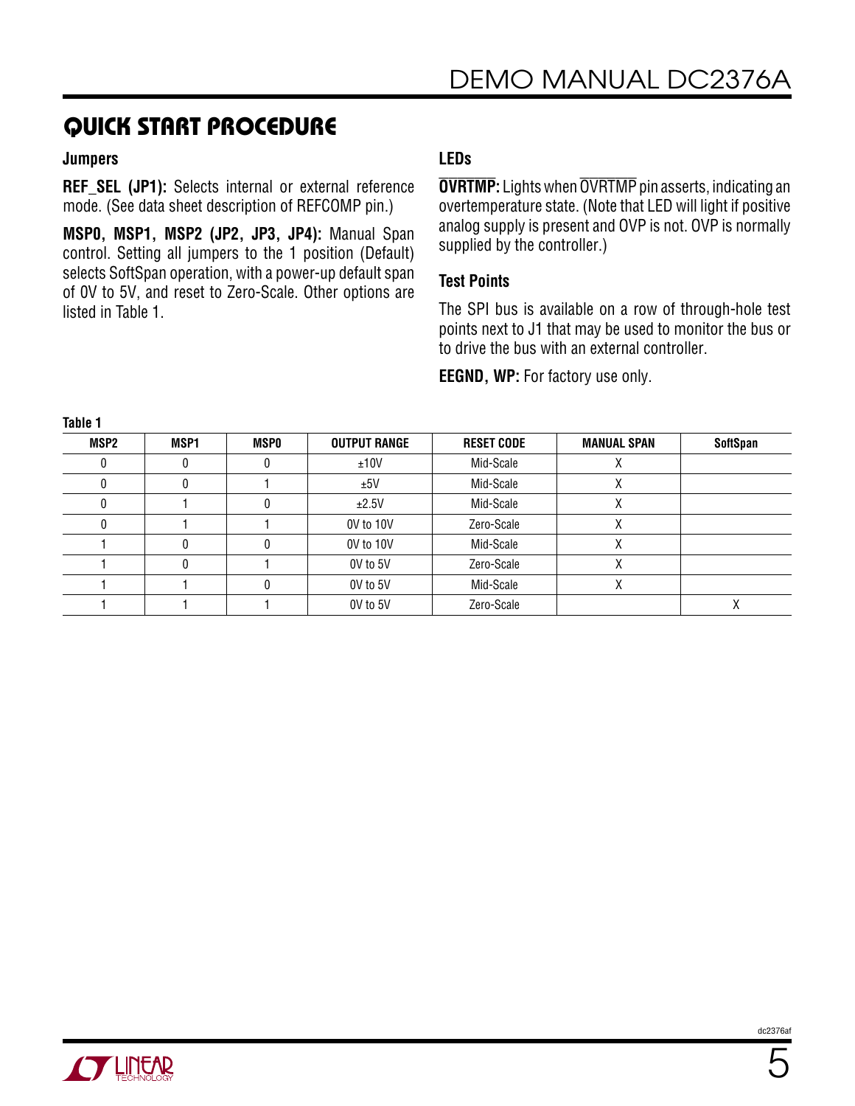#### **Jumpers**

**REF SEL (JP1):** Selects internal or external reference mode. (See data sheet description of REFCOMP pin.)

**MSP0, MSP1, MSP2 (JP2, JP3, JP4):** Manual Span control. Setting all jumpers to the 1 position (Default) selects SoftSpan operation, with a power-up default span of 0V to 5V, and reset to Zero-Scale. Other options are listed in Table 1.

### **LEDs**

**OVRTMP:** Lights when OVRTMP pin asserts, indicating an overtemperature state. (Note that LED will light if positive analog supply is present and OVP is not. OVP is normally supplied by the controller.)

#### **Test Points**

The SPI bus is available on a row of through-hole test points next to J1 that may be used to monitor the bus or to drive the bus with an external controller.

**EEGND, WP:** For factory use only.

| .    |      |             |                     |                   |                    |                 |
|------|------|-------------|---------------------|-------------------|--------------------|-----------------|
| MSP2 | MSP1 | <b>MSPO</b> | <b>OUTPUT RANGE</b> | <b>RESET CODE</b> | <b>MANUAL SPAN</b> | <b>SoftSpan</b> |
|      |      |             | ±10V                | Mid-Scale         |                    |                 |
|      |      |             | ±5V                 | Mid-Scale         | Λ                  |                 |
|      |      |             | ±2.5V               | Mid-Scale         | Λ                  |                 |
|      |      |             | 0V to 10V           | Zero-Scale        | Λ                  |                 |
|      |      |             | 0V to 10V           | Mid-Scale         |                    |                 |
|      |      |             | OV to 5V            | Zero-Scale        |                    |                 |
|      |      |             | OV to 5V            | Mid-Scale         |                    |                 |
|      |      |             | OV to 5V            | Zero-Scale        |                    |                 |

**Table 1**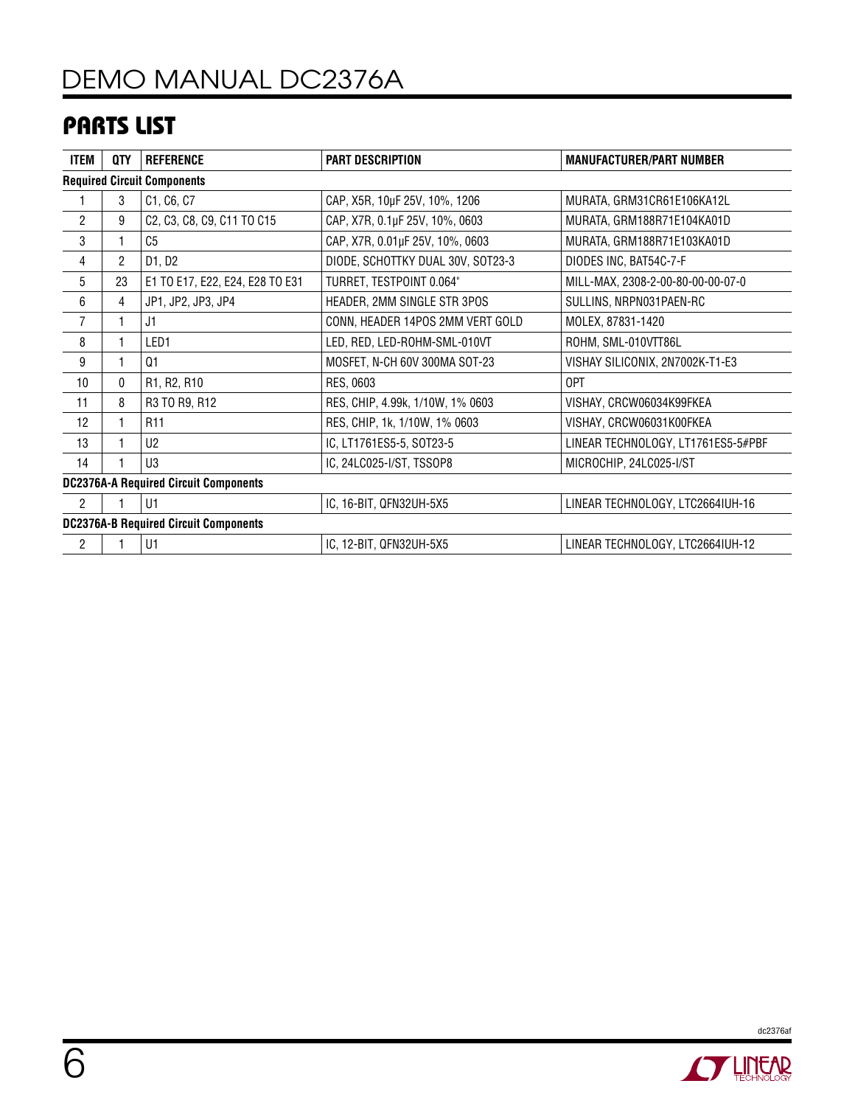# DEMO MANUAL DC2376A

## Parts List

| <b>ITEM</b>                                  | QTY            | <b>REFERENCE</b>                | <b>PART DESCRIPTION</b>           | <b>MANUFACTURER/PART NUMBER</b>    |  |  |  |
|----------------------------------------------|----------------|---------------------------------|-----------------------------------|------------------------------------|--|--|--|
| <b>Required Circuit Components</b>           |                |                                 |                                   |                                    |  |  |  |
|                                              | 3              | C1, C6, C7                      | CAP, X5R, 10µF 25V, 10%, 1206     | MURATA, GRM31CR61E106KA12L         |  |  |  |
| $\overline{2}$                               | 9              | C2, C3, C8, C9, C11 TO C15      | CAP, X7R, 0.1µF 25V, 10%, 0603    | MURATA, GRM188R71E104KA01D         |  |  |  |
| 3                                            |                | C <sub>5</sub>                  | CAP, X7R, 0.01µF 25V, 10%, 0603   | MURATA, GRM188R71E103KA01D         |  |  |  |
| 4                                            | $\overline{c}$ | D1, D2                          | DIODE, SCHOTTKY DUAL 30V, SOT23-3 | DIODES INC, BAT54C-7-F             |  |  |  |
| 5                                            | 23             | E1 TO E17, E22, E24, E28 TO E31 | TURRET, TESTPOINT 0.064"          | MILL-MAX, 2308-2-00-80-00-00-07-0  |  |  |  |
| 6                                            | 4              | JP1, JP2, JP3, JP4              | HEADER, 2MM SINGLE STR 3POS       | SULLINS, NRPN031PAEN-RC            |  |  |  |
| $\overline{7}$                               |                | J1                              | CONN, HEADER 14POS 2MM VERT GOLD  | MOLEX, 87831-1420                  |  |  |  |
| 8                                            |                | LED1                            | LED, RED, LED-ROHM-SML-010VT      | ROHM, SML-010VTT86L                |  |  |  |
| 9                                            |                | Q1                              | MOSFET, N-CH 60V 300MA SOT-23     | VISHAY SILICONIX, 2N7002K-T1-E3    |  |  |  |
| 10                                           | $\mathbf{0}$   | R1, R2, R10                     | RES, 0603                         | 0PT                                |  |  |  |
| 11                                           | 8              | R3 TO R9, R12                   | RES, CHIP, 4.99k, 1/10W, 1% 0603  | VISHAY, CRCW06034K99FKEA           |  |  |  |
| 12                                           | 1              | R <sub>11</sub>                 | RES, CHIP, 1k, 1/10W, 1% 0603     | VISHAY, CRCW06031K00FKEA           |  |  |  |
| 13                                           | 1              | U <sub>2</sub>                  | IC, LT1761ES5-5, SOT23-5          | LINEAR TECHNOLOGY, LT1761ES5-5#PBF |  |  |  |
| 14                                           |                | U3                              | IC, 24LC025-I/ST, TSSOP8          | MICROCHIP, 24LC025-I/ST            |  |  |  |
| <b>DC2376A-A Required Circuit Components</b> |                |                                 |                                   |                                    |  |  |  |
| $\overline{2}$                               |                | U1                              | IC, 16-BIT, QFN32UH-5X5           | LINEAR TECHNOLOGY, LTC2664IUH-16   |  |  |  |
| <b>DC2376A-B Required Circuit Components</b> |                |                                 |                                   |                                    |  |  |  |
| $\overline{c}$                               |                | U1                              | IC, 12-BIT, QFN32UH-5X5           | LINEAR TECHNOLOGY, LTC2664IUH-12   |  |  |  |



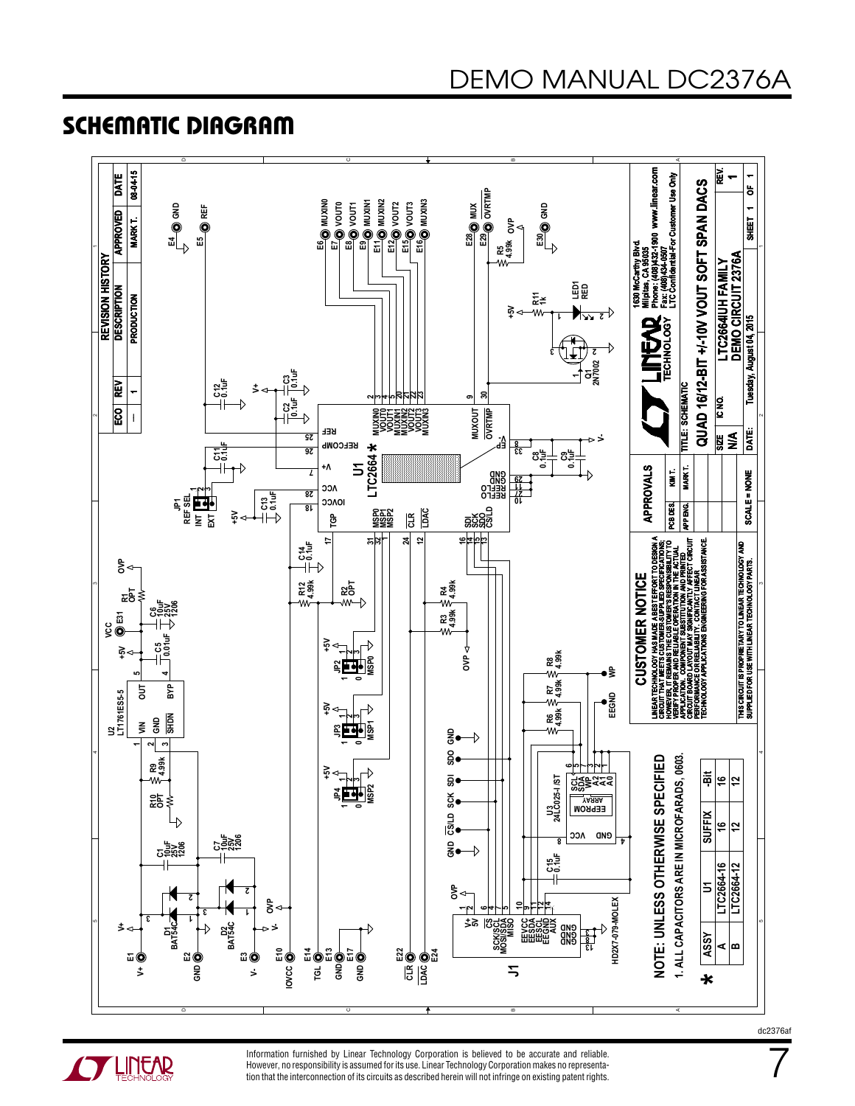### Schematic Diagram



**OF LINEAR** 

Information furnished by Linear Technology Corporation is believed to be accurate and reliable. However, no responsibility is assumed for its use. Linear Technology Corporation makes no representation that the interconnection of its circuits as described herein will not infringe on existing patent rights. dc2376af

7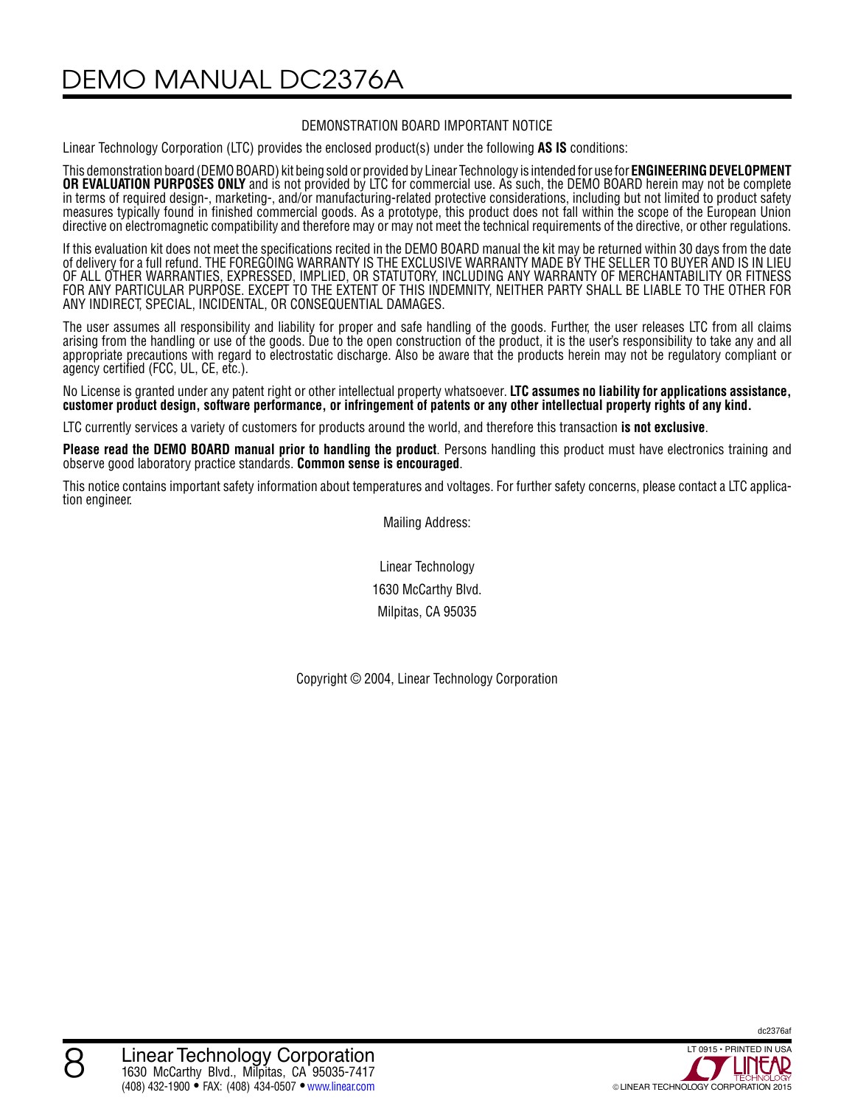DEMO MANUAL DC2376A

#### DEMONSTRATION BOARD IMPORTANT NOTICE

Linear Technology Corporation (LTC) provides the enclosed product(s) under the following **AS IS** conditions:

This demonstration board (DEMO BOARD) kit being sold or provided by Linear Technology is intended for use for ENGINEERING DEVELOPMENT **OR EVALUATION PURPOSES ONLY** and is not provided by LTC for commercial use. As such, the DEMO BOARD herein may not be complete in terms of required design-, marketing-, and/or manufacturing-related protective considerations, including but not limited to product safety measures typically found in finished commercial goods. As a prototype, this product does not fall within the scope of the European Union directive on electromagnetic compatibility and therefore may or may not meet the technical requirements of the directive, or other regulations.

If this evaluation kit does not meet the specifications recited in the DEMO BOARD manual the kit may be returned within 30 days from the date of delivery for a full refund. THE FOREGOING WARRANTY IS THE EXCLUSIVE WARRANTY MADE BY THE SELLER TO BUYER AND IS IN LIEU OF ALL OTHER WARRANTIES, EXPRESSED, IMPLIED, OR STATUTORY, INCLUDING ANY WARRANTY OF MERCHANTABILITY OR FITNESS FOR ANY PARTICULAR PURPOSE. EXCEPT TO THE EXTENT OF THIS INDEMNITY, NEITHER PARTY SHALL BE LIABLE TO THE OTHER FOR ANY INDIRECT, SPECIAL, INCIDENTAL, OR CONSEQUENTIAL DAMAGES.

The user assumes all responsibility and liability for proper and safe handling of the goods. Further, the user releases LTC from all claims arising from the handling or use of the goods. Due to the open construction of the product, it is the user's responsibility to take any and all appropriate precautions with regard to electrostatic discharge. Also be aware that the products herein may not be regulatory compliant or agency certified (FCC, UL, CE, etc.).

No License is granted under any patent right or other intellectual property whatsoever. **LTC assumes no liability for applications assistance,**  customer product design, software performance, or infringement of patents or any other intellectual property rights of any kind.

LTC currently services a variety of customers for products around the world, and therefore this transaction **is not exclusive**.

**Please read the DEMO BOARD manual prior to handling the product**. Persons handling this product must have electronics training and observe good laboratory practice standards. **Common sense is encouraged**.

This notice contains important safety information about temperatures and voltages. For further safety concerns, please contact a LTC applica tion engineer.

Mailing Address:

Linear Technology 1630 McCarthy Blvd. Milpitas, CA 95035

Copyright © 2004, Linear Technology Corporation

dc2376af